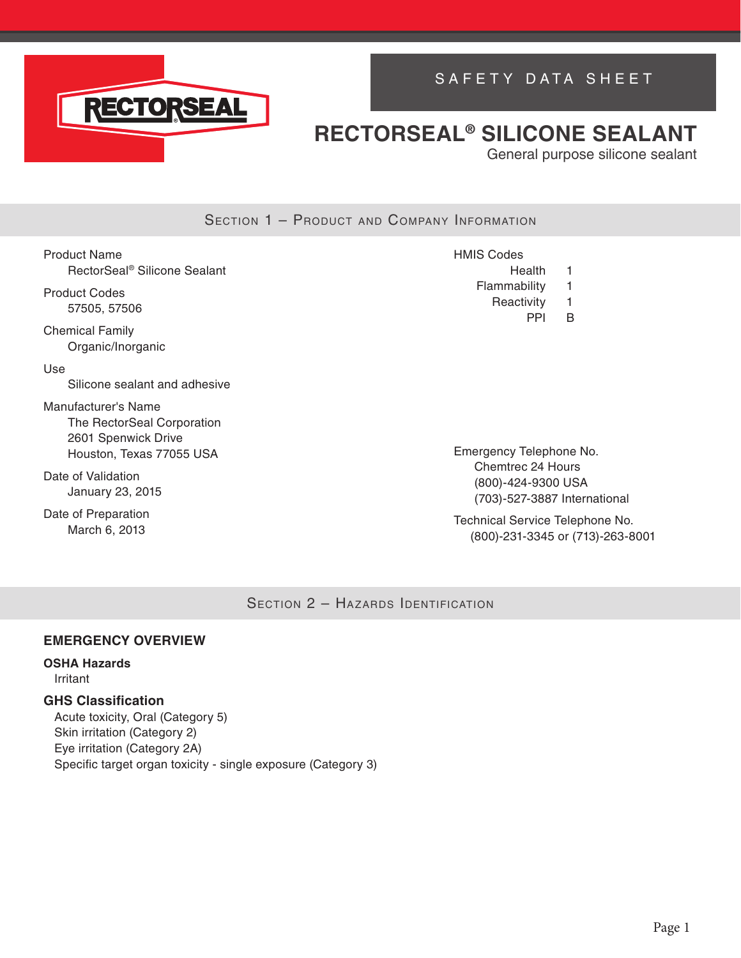

# SAFETY DATA SHEET

# **RECTORSEAL® SILICONE SEALANT**

General purpose silicone sealant

### SECTION 1 - PRODUCT AND COMPANY INFORMATION

| Product Name |                                          |  |
|--------------|------------------------------------------|--|
|              | RectorSeal <sup>®</sup> Silicone Sealant |  |

Product Codes 57505, 57506

Chemical Family Organic/Inorganic

Use

Silicone sealant and adhesive

Manufacturer's Name The RectorSeal Corporation 2601 Spenwick Drive Houston, Texas 77055 USA

Date of Validation January 23, 2015

Date of Preparation March 6, 2013

HMIS Codes Health 1 Flammability 1 Reactivity 1 PPI B

Emergency Telephone No. Chemtrec 24 Hours (800)-424-9300 USA (703)-527-3887 International

Technical Service Telephone No. (800)-231-3345 or (713)-263-8001

SECTION 2 - HAZARDS IDENTIFICATION

#### **EMERGENCY OVERVIEW**

#### **OSHA Hazards**

Irritant

### **GHS Classification**

Acute toxicity, Oral (Category 5) Skin irritation (Category 2) Eye irritation (Category 2A) Specific target organ toxicity - single exposure (Category 3)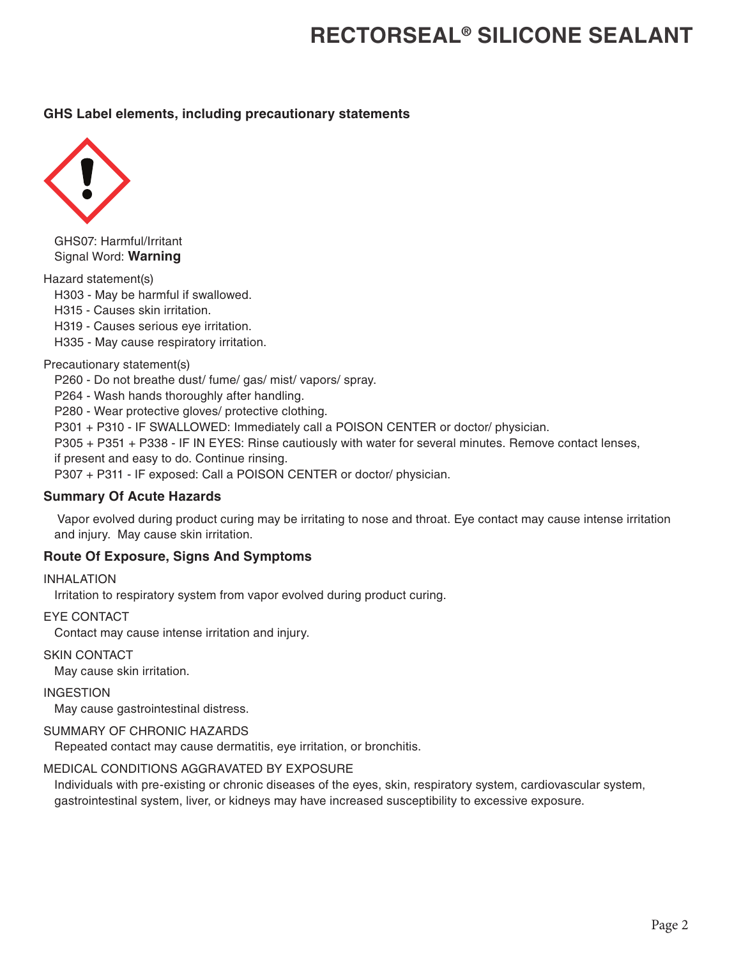### **GHS Label elements, including precautionary statements**



GHS07: Harmful/Irritant Signal Word: **Warning**

Hazard statement(s)

H303 - May be harmful if swallowed.

H315 - Causes skin irritation.

H319 - Causes serious eye irritation.

H335 - May cause respiratory irritation.

#### Precautionary statement(s)

P260 - Do not breathe dust/ fume/ gas/ mist/ vapors/ spray.

P264 - Wash hands thoroughly after handling.

P280 - Wear protective gloves/ protective clothing.

P301 + P310 - IF SWALLOWED: Immediately call a POISON CENTER or doctor/ physician.

P305 + P351 + P338 - IF IN EYES: Rinse cautiously with water for several minutes. Remove contact lenses, if present and easy to do. Continue rinsing.

P307 + P311 - IF exposed: Call a POISON CENTER or doctor/ physician.

### **Summary Of Acute Hazards**

 Vapor evolved during product curing may be irritating to nose and throat. Eye contact may cause intense irritation and injury. May cause skin irritation.

### **Route Of Exposure, Signs And Symptoms**

INHALATION

Irritation to respiratory system from vapor evolved during product curing.

#### EYE CONTACT

Contact may cause intense irritation and injury.

SKIN CONTACT

May cause skin irritation.

INGESTION

May cause gastrointestinal distress.

#### SUMMARY OF CHRONIC HAZARDS

Repeated contact may cause dermatitis, eye irritation, or bronchitis.

## MEDICAL CONDITIONS AGGRAVATED BY EXPOSURE

Individuals with pre-existing or chronic diseases of the eyes, skin, respiratory system, cardiovascular system, gastrointestinal system, liver, or kidneys may have increased susceptibility to excessive exposure.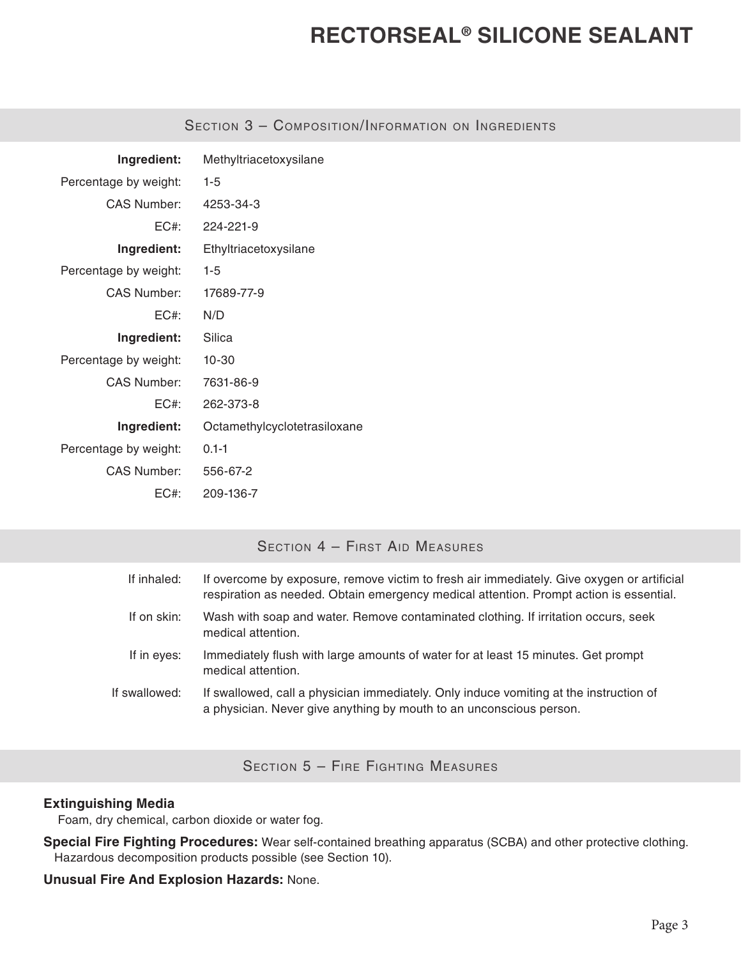| Ingredient:           | Methyltriacetoxysilane       |
|-----------------------|------------------------------|
| Percentage by weight: | $1-5$                        |
| CAS Number:           | 4253-34-3                    |
| FC#                   | 224-221-9                    |
| Ingredient:           | Ethyltriacetoxysilane        |
| Percentage by weight: | $1-5$                        |
| CAS Number:           | 17689-77-9                   |
| FC#·                  | N/D                          |
| Ingredient:           | Silica                       |
| Percentage by weight: | $10 - 30$                    |
| CAS Number:           | 7631-86-9                    |
| FC#·                  | 262-373-8                    |
| Ingredient:           | Octamethylcyclotetrasiloxane |
| Percentage by weight: | $0.1 - 1$                    |
| CAS Number:           | 556-67-2                     |
| EC#:                  | 209-136-7                    |

## SECTION 3 - COMPOSITION/INFORMATION ON INGREDIENTS

# Section 4 – First Aid Measures

| If inhaled:   | If overcome by exposure, remove victim to fresh air immediately. Give oxygen or artificial<br>respiration as needed. Obtain emergency medical attention. Prompt action is essential. |
|---------------|--------------------------------------------------------------------------------------------------------------------------------------------------------------------------------------|
| If on skin:   | Wash with soap and water. Remove contaminated clothing. If irritation occurs, seek<br>medical attention.                                                                             |
| If in eyes:   | Immediately flush with large amounts of water for at least 15 minutes. Get prompt<br>medical attention.                                                                              |
| If swallowed: | If swallowed, call a physician immediately. Only induce vomiting at the instruction of<br>a physician. Never give anything by mouth to an unconscious person.                        |
|               |                                                                                                                                                                                      |

Section 5 – Fire Fighting Measures

### **Extinguishing Media**

Foam, dry chemical, carbon dioxide or water fog.

**Special Fire Fighting Procedures:** Wear self-contained breathing apparatus (SCBA) and other protective clothing. Hazardous decomposition products possible (see Section 10).

### **Unusual Fire And Explosion Hazards:** None.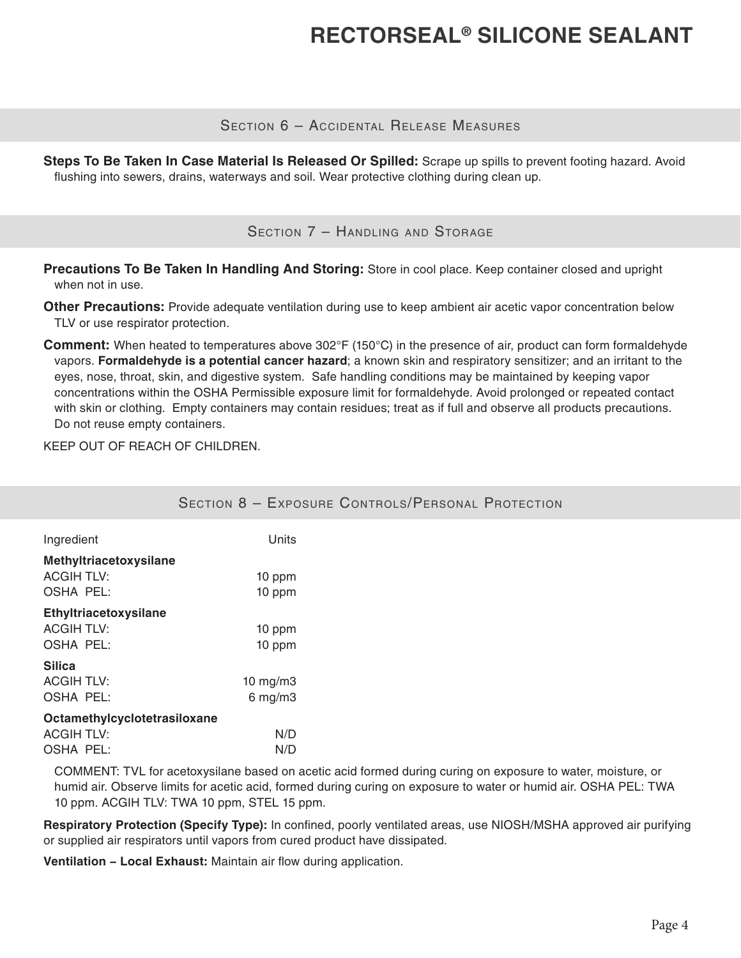### Section 6 – Accidental Release Measures

**Steps To Be Taken In Case Material Is Released Or Spilled:** Scrape up spills to prevent footing hazard. Avoid flushing into sewers, drains, waterways and soil. Wear protective clothing during clean up.

SECTION 7 - HANDLING AND STORAGE

**Precautions To Be Taken In Handling And Storing:** Store in cool place. Keep container closed and upright when not in use.

**Other Precautions:** Provide adequate ventilation during use to keep ambient air acetic vapor concentration below TLV or use respirator protection.

**Comment:** When heated to temperatures above 302°F (150°C) in the presence of air, product can form formaldehyde vapors. **Formaldehyde is a potential cancer hazard**; a known skin and respiratory sensitizer; and an irritant to the eyes, nose, throat, skin, and digestive system. Safe handling conditions may be maintained by keeping vapor concentrations within the OSHA Permissible exposure limit for formaldehyde. Avoid prolonged or repeated contact with skin or clothing. Empty containers may contain residues; treat as if full and observe all products precautions. Do not reuse empty containers.

KEEP OUT OF REACH OF CHILDREN.

|                              |               | <b>SECTION 8 - EXPOSURE CONTROLS/PERSONAL PROTECTION</b> |
|------------------------------|---------------|----------------------------------------------------------|
| Ingredient                   | Units         |                                                          |
| Methyltriacetoxysilane       |               |                                                          |
| <b>ACGIH TLV:</b>            | 10 ppm        |                                                          |
| OSHA PEL:                    | 10 ppm        |                                                          |
| Ethyltriacetoxysilane        |               |                                                          |
| <b>ACGIH TLV:</b>            | 10 ppm        |                                                          |
| OSHA PEL:                    | 10 ppm        |                                                          |
| <b>Silica</b>                |               |                                                          |
| <b>ACGIH TLV:</b>            | $10$ mg/m $3$ |                                                          |
| OSHA PEL:                    | $6$ mg/m $3$  |                                                          |
| Octamethylcyclotetrasiloxane |               |                                                          |
| <b>ACGIH TLV:</b>            | N/D           |                                                          |
| OSHA PEL:                    | N/D           |                                                          |

COMMENT: TVL for acetoxysilane based on acetic acid formed during curing on exposure to water, moisture, or humid air. Observe limits for acetic acid, formed during curing on exposure to water or humid air. OSHA PEL: TWA 10 ppm. ACGIH TLV: TWA 10 ppm, STEL 15 ppm.

**Respiratory Protection (Specify Type):** In confined, poorly ventilated areas, use NIOSH/MSHA approved air purifying or supplied air respirators until vapors from cured product have dissipated.

**Ventilation − Local Exhaust:** Maintain air flow during application.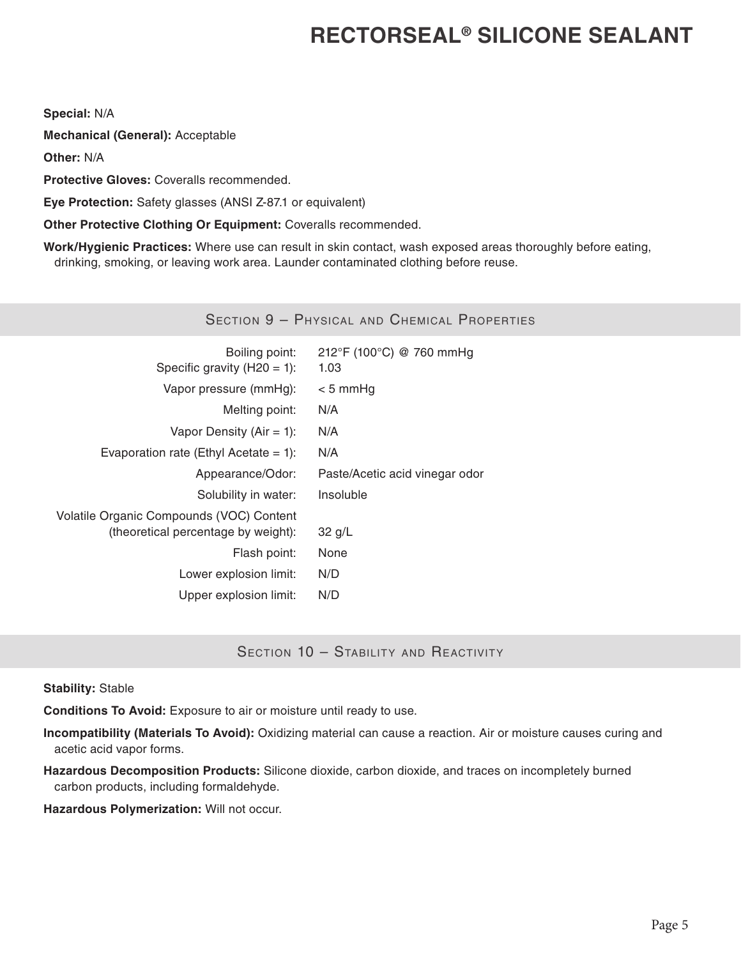**Special:** N/A

**Mechanical (General):** Acceptable

**Other:** N/A

**Protective Gloves:** Coveralls recommended.

**Eye Protection:** Safety glasses (ANSI Z-87.1 or equivalent)

**Other Protective Clothing Or Equipment:** Coveralls recommended.

**Work/Hygienic Practices:** Where use can result in skin contact, wash exposed areas thoroughly before eating, drinking, smoking, or leaving work area. Launder contaminated clothing before reuse.

## Section 9 – Physical and Chemical Properties

| Boiling point:<br>Specific gravity $(H20 = 1)$ :                                | 212°F (100°C) @ 760 mmHg<br>1.03 |
|---------------------------------------------------------------------------------|----------------------------------|
| Vapor pressure (mmHg):                                                          | $< 5$ mmHg                       |
| Melting point:                                                                  | N/A                              |
| Vapor Density (Air = 1):                                                        | N/A                              |
| Evaporation rate (Ethyl Acetate = 1):                                           | N/A                              |
| Appearance/Odor:                                                                | Paste/Acetic acid vinegar odor   |
| Solubility in water:                                                            | Insoluble                        |
| Volatile Organic Compounds (VOC) Content<br>(theoretical percentage by weight): | $32$ g/L                         |
| Flash point:                                                                    | None                             |
| Lower explosion limit:                                                          | N/D                              |
| Upper explosion limit:                                                          | N/D                              |

SECTION 10 - STABILITY AND REACTIVITY

**Stability:** Stable

**Conditions To Avoid:** Exposure to air or moisture until ready to use.

**Incompatibility (Materials To Avoid):** Oxidizing material can cause a reaction. Air or moisture causes curing and acetic acid vapor forms.

**Hazardous Decomposition Products:** Silicone dioxide, carbon dioxide, and traces on incompletely burned carbon products, including formaldehyde.

**Hazardous Polymerization:** Will not occur.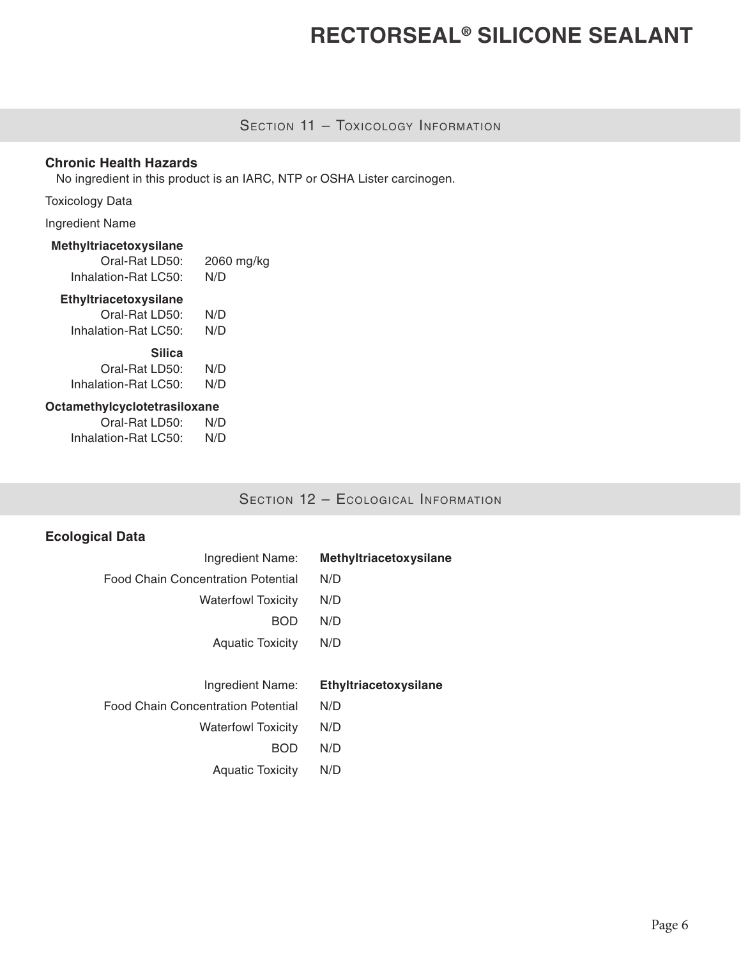# SECTION 11 - TOXICOLOGY INFORMATION

### **Chronic Health Hazards**

No ingredient in this product is an IARC, NTP or OSHA Lister carcinogen.

Toxicology Data

Ingredient Name

#### **Methyltriacetoxysilane**

| Oral-Rat LD50:       | 2060 mg/kg |
|----------------------|------------|
| Inhalation-Rat LC50: | N/D        |

### **Ethyltriacetoxysilane**

| Oral-Rat LD50:       | N/D |
|----------------------|-----|
| Inhalation-Rat LC50: | N/D |
| <b>Silica</b>        |     |
| Oral-Rat LD50:       | N/D |
|                      |     |
| Inhalation-Rat LC50: | N/D |

### **Octamethylcyclotetrasiloxane**

| Oral-Rat LD50:       | N/D |
|----------------------|-----|
| Inhalation-Rat LC50: | N/D |

SECTION 12 - ECOLOGICAL INFORMATION

## **Ecological Data**

| Ingredient Name:                          | Methyltriacetoxysilane |
|-------------------------------------------|------------------------|
| <b>Food Chain Concentration Potential</b> | N/D                    |
| <b>Waterfowl Toxicity</b>                 | N/D                    |
| <b>BOD</b>                                | N/D                    |
| <b>Aquatic Toxicity</b>                   | N/D                    |
|                                           |                        |
|                                           |                        |
| Ingredient Name:                          | Ethyltriacetoxysilane  |
| <b>Food Chain Concentration Potential</b> | N/D                    |
| <b>Waterfowl Toxicity</b>                 | N/D                    |
| BOD                                       | N/D                    |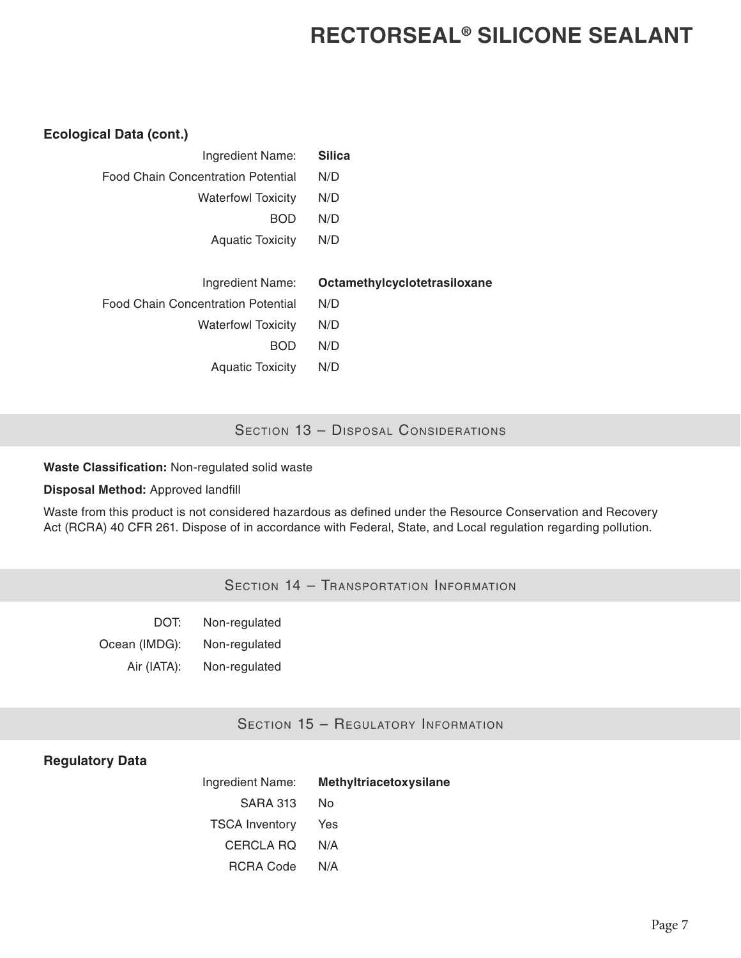### **Ecological Data (cont.)**

| Ingredient Name:                          | <b>Silica</b>                |
|-------------------------------------------|------------------------------|
| <b>Food Chain Concentration Potential</b> | N/D                          |
| <b>Waterfowl Toxicity</b>                 | N/D                          |
| <b>BOD</b>                                | N/D                          |
| <b>Aquatic Toxicity</b>                   | N/D                          |
|                                           |                              |
|                                           |                              |
| Ingredient Name:                          | Octamethylcyclotetrasiloxane |
| <b>Food Chain Concentration Potential</b> | N/D                          |
| <b>Waterfowl Toxicity</b>                 | N/D                          |
| <b>BOD</b>                                | N/D                          |
|                                           |                              |

### SECTION 13 - DISPOSAL CONSIDERATIONS

#### **Waste Classification:** Non-regulated solid waste

#### **Disposal Method:** Approved landfill

Waste from this product is not considered hazardous as defined under the Resource Conservation and Recovery Act (RCRA) 40 CFR 261. Dispose of in accordance with Federal, State, and Local regulation regarding pollution.

# Section 14 - Transportation Information

| DOT:          | Non-regulated |
|---------------|---------------|
| Ocean (IMDG): | Non-regulated |
| Air (IATA):   | Non-regulated |

### SECTION 15 - REGULATORY INFORMATION

### **Regulatory Data**

|                       | Ingredient Name: Methyltriacetoxysilane |
|-----------------------|-----------------------------------------|
| SARA 313 No           |                                         |
| <b>TSCA Inventory</b> | Yes                                     |
| CERCLA RQ             | N/A                                     |
| RCRA Code             | N/A                                     |